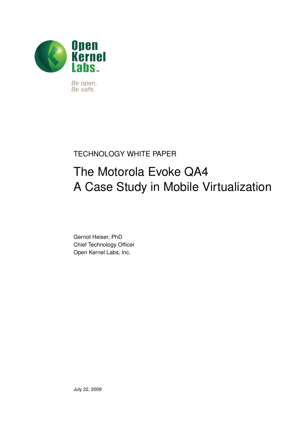

Be open. Be safe.

#### TECHNOLOGY WHITE PAPER

# The Motorola Evoke QA4 A Case Study in Mobile Virtualization

Gernot Heiser, PhD Chief Technology Officer Open Kernel Labs, Inc.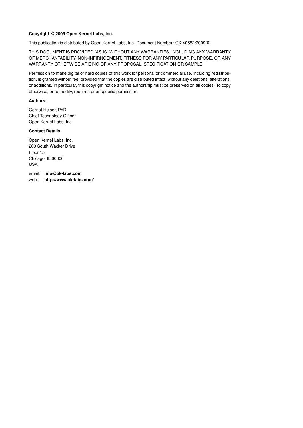#### Copyright © 2009 Open Kernel Labs, Inc.

This publication is distributed by Open Kernel Labs, Inc. Document Number: OK 40582:2009(0)

THIS DOCUMENT IS PROVIDED "AS IS" WITHOUT ANY WARRANTIES, INCLUDING ANY WARRANTY OF MERCHANTABILITY, NON-INFIRNGEMENT, FITNESS FOR ANY PARTICULAR PURPOSE, OR ANY WARRANTY OTHERWISE ARISING OF ANY PROPOSAL, SPECIFICATION OR SAMPLE.

Permission to make digital or hard copies of this work for personal or commercial use, including redistribution, is granted without fee, provided that the copies are distributed intact, without any deletions, alterations, or additions. In particular, this copyright notice and the authorship must be preserved on all copies. To copy otherwise, or to modify, requires prior specific permission.

#### **Authors:**

Gernot Heiser, PhD Chief Technology Officer Open Kernel Labs, Inc.

#### **Contact Details:**

Open Kernel Labs, Inc. 200 South Wacker Drive Floor 15 Chicago, IL 60606 USA

email: **[info@ok-labs.com](mailto:info@ok-labs.com)** web: **<http://www.ok-labs.com/>**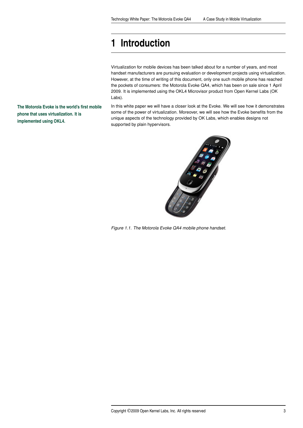# <span id="page-2-0"></span>**[1 Introduction](#page-2-0)**

Virtualization for mobile devices has been talked about for a number of years, and most handset manufacturers are pursuing evaluation or development projects using virtualization. However, at the time of writing of this document, only one such mobile phone has reached the pockets of consumers: the Motorola Evoke QA4, which has been on sale since 1 April 2009. It is implemented using the OKL4 Microvisor product from Open Kernel Labs (OK Labs).

In this white paper we will have a closer look at the Evoke. We will see how it demonstrates some of the power of virtualization. Moreover, we will see how the Evoke benefits from the unique aspects of the technology provided by OK Labs, which enables designs not supported by plain hypervisors.



*Figure 1.1. The Motorola Evoke QA4 mobile phone handset.*

**The Motorola Evoke is the world's first mobile phone that uses virtualization. It is implemented using OKL4.**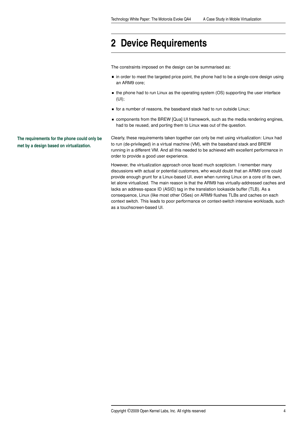### <span id="page-3-0"></span>**[2 Device Requirements](#page-3-0)**

The constraints imposed on the design can be summarised as:

- in order to meet the targeted price point, the phone had to be a single-core design using an ARM9 core;
- the phone had to run Linux as the operating system (OS) supporting the user interface (UI);
- **for a number of reasons, the baseband stack had to run outside Linux;**
- **E** components from the BREW [Qua] UI framework, such as the media rendering engines, had to be reused, and porting them to Linux was out of the question.

Clearly, these requirements taken together can only be met using virtualization: Linux had to run (de-privileged) in a virtual machine (VM), with the baseband stack and BREW running in a different VM. And all this needed to be achieved with excellent performance in order to provide a good user experience.

However, the virtualization approach once faced much scepticism. I remember many discussions with actual or potential customers, who would doubt that an ARM9 core could provide enough grunt for a Linux-based UI, even when running Linux on a core of its own, let alone virtualized. The main reason is that the ARM9 has virtually-addressed caches and lacks an address-space ID (ASID) tag in the translation lookaside buffer (TLB). As a consequence, Linux (like most other OSes) on ARM9 flushes TLBs and caches on each context switch. This leads to poor performance on context-switch intensive workloads, such as a touchscreen-based UI.

**The requirements for the phone could only be met by a design based on virtualization.**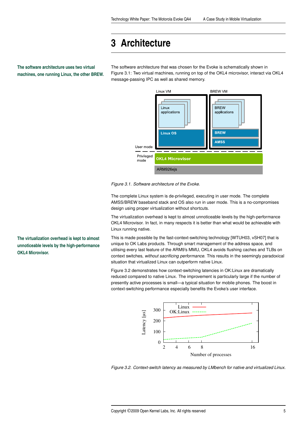# <span id="page-4-0"></span>**[3 Architecture](#page-4-0)**

**The software architecture uses two virtual machines, one running Linux, the other BREW.**

The software architecture that was chosen for the Evoke is schematically shown in Figure [3.1](#page-4-1): Two virtual machines, running on top of the OKL4 microvisor, interact via OKL4 message-passing IPC as well as shared memory.



<span id="page-4-1"></span>*Figure 3.1. Software architecture of the Evoke.*

The complete Linux system is de-privileged, executing in user mode. The complete AMSS/BREW baseband stack and OS also run in user mode. This is a no-compromises design using proper virtualization without shortcuts.

The virtualization overhead is kept to almost unnoticeable levels by the high-performance OKL4 Microvisor. In fact, in many respects it is better than what would be achievable with Linux running native.

This is made possible by the fast-context-switching technology [WTUH03, vSH07] that is unique to OK Labs products. Through smart management of the address space, and utilising every last feature of the ARM9's MMU, OKL4 avoids flushing caches and TLBs on context switches, *without sacrificing performance*. This results in the seemingly paradoxical situation that virtualized Linux can outperform native Linux.

Figure [3.2](#page-4-2) demonstrates how context-switching latencies in OK:Linux are dramatically reduced compared to native Linux. The improvement is particularly large if the number of presently active processes is small—a typical situation for mobile phones. The boost in context-switching performance especially benefits the Evoke's user interface.



<span id="page-4-2"></span>

**The virtualization overhead is kept to almost unnoticeable levels by the high-performance OKL4 Microvisor.**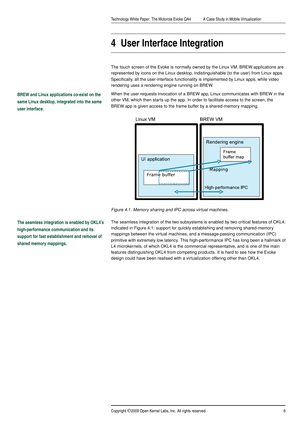# <span id="page-5-0"></span>**[4 User Interface Integration](#page-5-0)**

The touch screen of the Evoke is normally owned by the Linux VM. BREW applications are represented by icons on the Linux desktop, indistinguishable (to the user) from Linux apps. Specifically, all the user-interface functionality is implemented by Linux apps, while video rendering uses a rendering engine running on BREW.

When the user requests invocation of a BREW app, Linux communicates with BREW in the other VM, which then starts up the app. In order to facilitate access to the screen, the BREW app is given access to the frame buffer by a shared-memory mapping.



<span id="page-5-1"></span>*Figure 4.1. Memory sharing and IPC across virtual machines.*

The seamless integration of the two subsystems is enabled by two critical features of OKL4, indicated in Figure [4.1:](#page-5-1) support for quickly establishing and removing shared-memory mappings between the virtual machines, and a message-passing communication (IPC) primitive with extremely low latency. This high-performance IPC has long been a hallmark of L4 microkernels, of which OKL4 is the commercial representative, and is one of the main features distinguishing OKL4 from competing products. It is hard to see how the Evoke design could have been realised with a virtualization offering other than OKL4.

**BREW and Linux applications co-exist on the same Linux desktop, integrated into the same user interface.**

**The seamless integration is enabled by OKL4's high-performance communication and its support for fast establishment and removal of shared memory mappings.**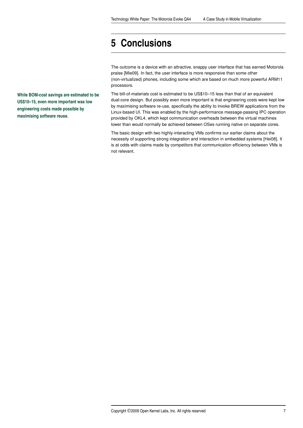## <span id="page-6-0"></span>**[5 Conclusions](#page-6-0)**

The outcome is a device with an attractive, snappy user interface that has earned Motorola praise [Mie09]. In fact, the user interface is more responsive than some other (non-virtualized) phones, including some which are based on much more powerful ARM11 processors.

The bill-of-materials cost is estimated to be US\$10–15 less than that of an equivalent dual-core design. But possibly even more important is that engineering costs were kept low by maximising software re-use, specifically the ability to invoke BREW applications from the Linux-based UI. This was enabled by the high-performance message-passing IPC operation provided by OKL4, which kept communication overheads between the virtual machines lower than would normally be achieved between OSes running native on separate cores.

The basic design with two highly-interacting VMs confirms our earlier claims about the necessity of supporting strong integration and interaction in embedded systems [Hei08]. It is at odds with claims made by competitors that communication efficiency between VMs is not relevant.

**While BOM-cost savings are estimated to be US\$10–15, even more important was low engineering costs made possible by maximising software reuse.**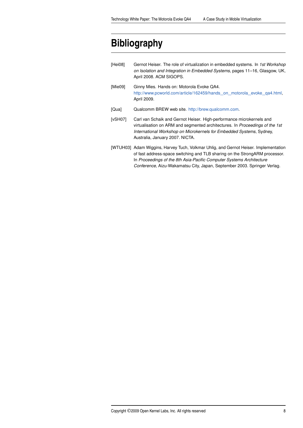# <span id="page-7-0"></span>**[Bibliography](#page-7-0)**

| [Hei08] | Gernot Heiser. The role of virtualization in embedded systems. In 1st Workshop<br>on Isolation and Integration in Embedded Systems, pages 11–16, Glasgow, UK,<br>April 2008. ACM SIGOPS.                                                                        |
|---------|-----------------------------------------------------------------------------------------------------------------------------------------------------------------------------------------------------------------------------------------------------------------|
| [Mie09] | Ginny Mies. Hands on: Motorola Evoke QA4.<br>http://www.pcworld.com/article/162459/hands_on_motorola_evoke_qa4.html,<br>April 2009.                                                                                                                             |
| [Qua]   | Qualcomm BREW web site. http://brew.qualcomm.com.                                                                                                                                                                                                               |
| [vSH07] | Carl van Schaik and Gernot Heiser. High-performance microkernels and<br>virtualisation on ARM and segmented architectures. In Proceedings of the 1st<br>International Workshop on Microkernels for Embedded Systems, Sydney,<br>Australia, January 2007. NICTA. |
|         | [WTUH03] Adam Wiggins, Harvey Tuch, Volkmar Uhlig, and Gernot Heiser. Implementation                                                                                                                                                                            |

of fast address-space switching and TLB sharing on the StrongARM processor. In *Proceedings of the 8th Asia-Pacific Computer Systems Architecture Conference*, Aizu-Wakamatsu City, Japan, September 2003. Springer Verlag.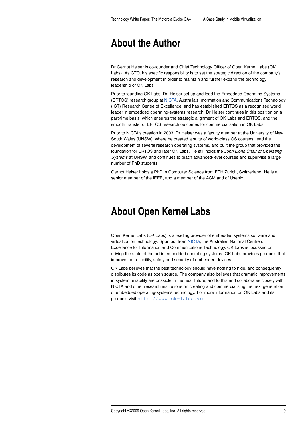### <span id="page-8-0"></span>**[About the Author](#page-8-0)**

Dr Gernot Heiser is co-founder and Chief Technology Officer of Open Kernel Labs (OK Labs). As CTO, his specific responsibility is to set the strategic direction of the company's research and development in order to maintain and further expand the technology leadership of OK Labs.

Prior to founding OK Labs, Dr. Heiser set up and lead the Embedded Operating Systems (ERTOS) research group at [NICTA](http://nicta.com.au), Australia's Information and Communications Technology (ICT) Research Centre of Excellence, and has established ERTOS as a recognised world leader in embedded operating-systems research. Dr Heiser continues in this position on a part-time basis, which ensures the strategic alignment of OK Labs and ERTOS, and the smooth transfer of ERTOS research outcomes for commercialisation in OK Labs.

Prior to NICTA's creation in 2003, Dr Heiser was a faculty member at the University of New South Wales (UNSW), where he created a suite of world-class OS courses, lead the development of several research operating systems, and built the group that provided the foundation for ERTOS and later OK Labs. He still holds the *John Lions Chair of Operating Systems* at UNSW, and continues to teach advanced-level courses and supervise a large number of PhD students.

Gernot Heiser holds a PhD in Computer Science from ETH Zurich, Switzerland. He is a senior member of the IEEE, and a member of the ACM and of Usenix.

## <span id="page-8-1"></span>**[About Open Kernel Labs](#page-8-1)**

Open Kernel Labs (OK Labs) is a leading provider of embedded systems software and virtualization technology. Spun out from [NICTA](http://nicta.com.au), the Australian National Centre of Excellence for Information and Communications Technology, OK Labs is focussed on driving the state of the art in embedded operating systems. OK Labs provides products that improve the reliability, safety and security of embedded devices.

OK Labs believes that the best technology should have nothing to hide, and consequently distributes its code as open source. The company also believes that dramatic improvements in system reliability are possible in the near future, and to this end collaborates closely with NICTA and other research institutions on creating and commercialising the next generation of embedded operating-systems technology. For more information on OK Labs and its products visit <http://www.ok-labs.com>.